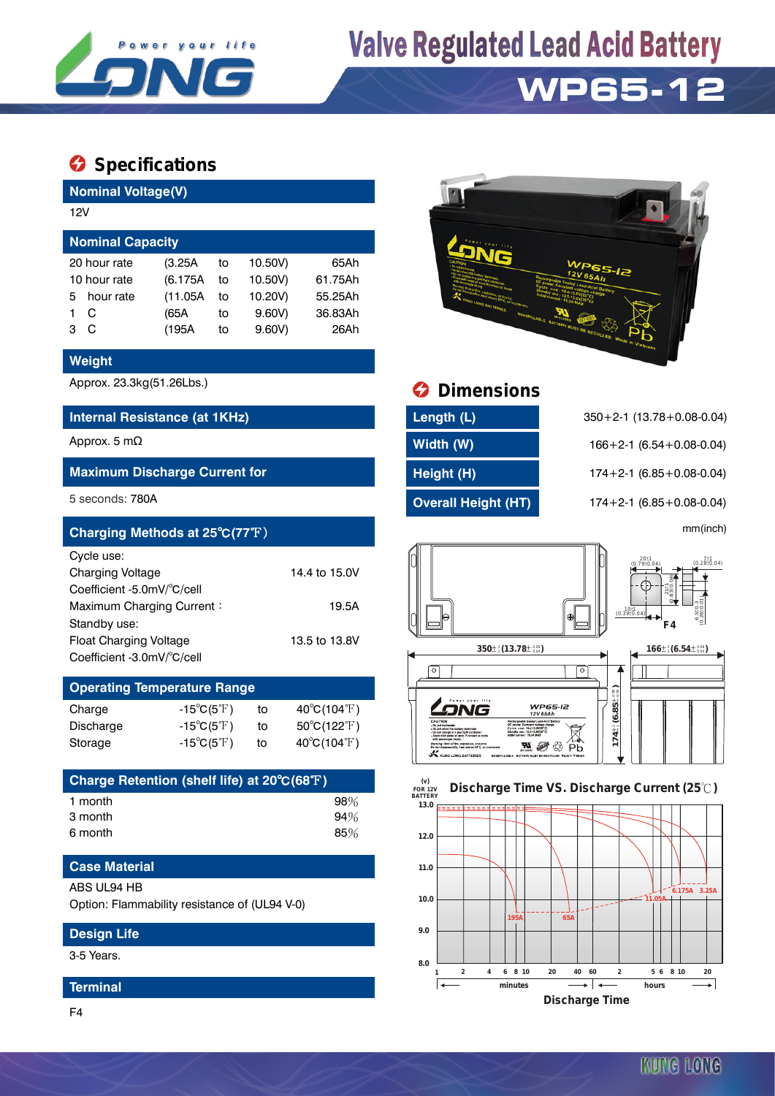

# **Valve Regulated Lead Acid Battery**

## **WP65-12**

### $\bullet$  Specifications

**Nominal Voltage(V)**

| 12V                     |              |          |    |         |         |  |  |  |  |
|-------------------------|--------------|----------|----|---------|---------|--|--|--|--|
| <b>Nominal Capacity</b> |              |          |    |         |         |  |  |  |  |
|                         | 20 hour rate | (3.25A)  | to | 10.50V) | 65Ah    |  |  |  |  |
| 10 hour rate            |              | (6.175A) | to | 10.50V) | 61.75Ah |  |  |  |  |
| 5.                      | hour rate    | (11.05A) | to | 10.20V) | 55.25Ah |  |  |  |  |
|                         | C            | (65A     | to | 9.60V   | 36.83Ah |  |  |  |  |
| 3                       | C            | (195A    | to | 9.60V   | 26Ah    |  |  |  |  |
|                         |              |          |    |         |         |  |  |  |  |

#### **Weight**

#### **Internal Resistance (at 1KHz) Length (L)** 350+2-1 (13.78+0.08-0.04)

#### **Maximum Discharge Current for Height (H)** 174+2-1 (6.85+0.08-0.04)

| Charging Methods at 25°C(77°F) |               |                                                     |                                                              | mm(inch)                |
|--------------------------------|---------------|-----------------------------------------------------|--------------------------------------------------------------|-------------------------|
| Cycle use:                     |               |                                                     | $20±1$<br>(0.79±0.04)                                        | $7.1$ (0.28 $\pm$ 0.04) |
| <b>Charging Voltage</b>        | 14.4 to 15.0V |                                                     |                                                              |                         |
| Coefficient -5.0mV/°C/cell     |               |                                                     | $211$<br>$6310$                                              |                         |
| Maximum Charging Current:      | 19.5A         |                                                     | $\begin{array}{c c} 10 \pm 1 \\ (0.39 \pm 0.04) \end{array}$ |                         |
| Standby use:                   |               |                                                     | F4                                                           | $6.5 + 0.040$           |
| <b>Float Charging Voltage</b>  | 13.5 to 13.8V |                                                     |                                                              |                         |
| Coefficient -3.0mV/°C/cell     |               | $350\pm\frac{2}{3}$ (13.78 $\pm\frac{0.08}{0.04}$ ) | $166\pm\frac{2}{3}(6.54\pm\frac{0.08}{0.04})$                |                         |

### **Operating Temperature Range**

| Charge    | $-15^{\circ}C(5^{\circ}F)$       | to | $40^{\circ}$ C(104 $^{\circ}$ F)      |
|-----------|----------------------------------|----|---------------------------------------|
| Discharge | $-15^{\circ}C(5^{\circ}F)$       | to | $50^{\circ}$ C(122 $\rm \mathbb{F}$ ) |
| Storage   | -15 $^{\circ}$ C(5 $^{\circ}$ F) | to | $40^{\circ}$ C(104 $^{\circ}$ F)      |

| Charge Retention (shelf life) at 20°C(68°F) |     |
|---------------------------------------------|-----|
| 1 month                                     | 98% |
| 3 month                                     | 94% |
| 6 month                                     | 85% |

#### **Case Material**

#### ABS UL94 HB

Option: Flammability resistance of (UL94 V-0)

#### **Design Life**

3-5 Years.

#### **Terminal**





### Approx. 23.3kg(51.26Lbs.) **Dimensions**

| Length (L)                 |
|----------------------------|
| Width (W)                  |
| Height (H)                 |
| <b>Overall Height (HT)</b> |

Approx. 5 mΩ **Width (W)** 166+2-1 (6.54+0.08-0.04) 5 seconds: 780A **Overall Height (HT)** 174+2-1 (6.85+0.08-0.04)



#### **13.0 FOR 12V BATTERY Discharge Time VS. Discharge Current (25 ℃)**



KUNG LONG